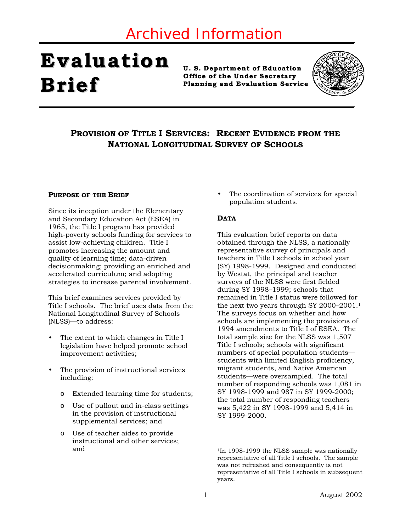## Archived Information

# **Evaluation Brief**

**U. S. Department of Education Office of the Under Secretary P lanning and Evaluation Service**



### **PROVISION OF TITLE I SERVICES: RECENT EVIDENCE FROM THE NATIONAL LONGITUDINAL SURVEY OF SCHOOLS**

#### **PURPOSE OF THE BRIEF**

Since its inception under the Elementary and Secondary Education Act (ESEA) in 1965, the Title I program has provided high-poverty schools funding for services to assist low-achieving children. Title I promotes increasing the amount and quality of learning time; data-driven decisionmaking; providing an enriched and accelerated curriculum; and adopting strategies to increase parental involvement.

This brief examines services provided by Title I schools. The brief uses data from the National Longitudinal Survey of Schools (NLSS)—to address:

- The extent to which changes in Title I legislation have helped promote school improvement activities;
- The provision of instructional services including:
	- o Extended learning time for students;
	- o Use of pullout and in-class settings in the provision of instructional supplemental services; and
	- Use of teacher aides to provide instructional and other services; and

The coordination of services for special population students.

#### **DATA**

This evaluation brief reports on data obtained through the NLSS, a nationally representative survey of principals and teachers in Title I schools in school year (SY) 1998-1999. Designed and conducted by Westat, the principal and teacher surveys of the NLSS were first fielded during SY 1998–1999; schools that remained in Title I status were followed for the next two years through SY 2000–2001[.1](#page-0-0)  The surveys focus on whether and how schools are implementing the provisions of 1994 amendments to Title I of ESEA. The total sample size for the NLSS was 1,507 Title I schools; schools with significant numbers of special population students students with limited English proficiency, migrant students, and Native American students—were oversampled. The total number of responding schools was 1,081 in SY 1998-1999 and 987 in SY 1999-2000; the total number of responding teachers was 5,422 in SY 1998-1999 and 5,414 in SY 1999-2000.

<span id="page-0-0"></span><sup>1</sup>In 1998-1999 the NLSS sample was nationally representative of all Title I schools. The sample was not refreshed and consequently is not representative of all Title I schools in subsequent years.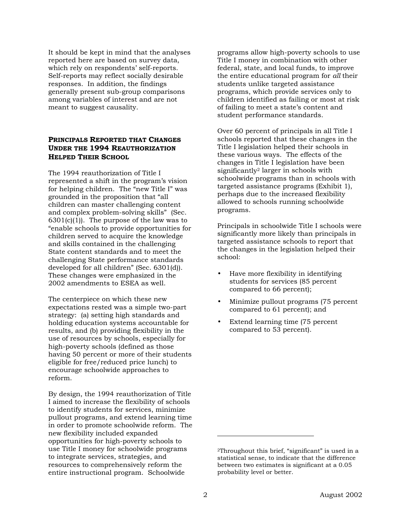It should be kept in mind that the analyses reported here are based on survey data, which rely on respondents' self-reports. Self-reports may reflect socially desirable responses. In addition, the findings generally present sub-group comparisons among variables of interest and are not meant to suggest causality.

#### **PRINCIPALS REPORTED THAT CHANGES UNDER THE 1994 REAUTHORIZATION HELPED THEIR SCHOOL**

The 1994 reauthorization of Title I represented a shift in the program's vision for helping children. The "new Title I" was grounded in the proposition that "all children can master challenging content and complex problem-solving skills" (Sec.  $6301(c)(1)$ . The purpose of the law was to "enable schools to provide opportunities for children served to acquire the knowledge and skills contained in the challenging State content standards and to meet the challenging State performance standards developed for all children" (Sec. 6301(d)). These changes were emphasized in the 2002 amendments to ESEA as well.

The centerpiece on which these new expectations rested was a simple two-part strategy: (a) setting high standards and holding education systems accountable for results, and (b) providing flexibility in the use of resources by schools, especially for high-poverty schools (defined as those having 50 percent or more of their students eligible for free/reduced price lunch) to encourage schoolwide approaches to reform.

By design, the 1994 reauthorization of Title I aimed to increase the flexibility of schools to identify students for services, minimize pullout programs, and extend learning time in order to promote schoolwide reform. The new flexibility included expanded opportunities for high-poverty schools to use Title I money for schoolwide programs to integrate services, strategies, and resources to comprehensively reform the entire instructional program. Schoolwide

programs allow high-poverty schools to use Title I money in combination with other federal, state, and local funds, to improve the entire educational program for *all* their students unlike targeted assistance programs, which provide services only to children identified as failing or most at risk of failing to meet a state's content and student performance standards.

Over 60 percent of principals in all Title I schools reported that these changes in the Title I legislation helped their schools in these various ways. The effects of the changes in Title I legislation have been significantl[y2](#page-1-0) larger in schools with schoolwide programs than in schools with targeted assistance programs (Exhibit 1), perhaps due to the increased flexibility allowed to schools running schoolwide programs.

Principals in schoolwide Title I schools were significantly more likely than principals in targeted assistance schools to report that the changes in the legislation helped their school:

- Have more flexibility in identifying students for services (85 percent compared to 66 percent);
- Minimize pullout programs (75 percent compared to 61 percent); and
- Extend learning time (75 percent compared to 53 percent).

<span id="page-1-0"></span><sup>2</sup>Throughout this brief, "significant" is used in a statistical sense, to indicate that the difference between two estimates is significant at a 0.05 probability level or better.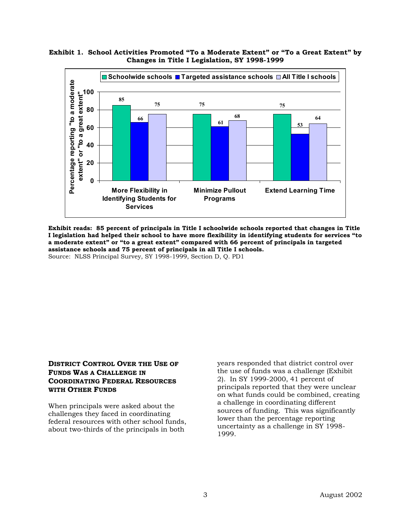

#### **Exhibit 1. School Activities Promoted "To a Moderate Extent" or "To a Great Extent" by Changes in Title I Legislation, SY 1998-1999**

**Exhibit reads: 85 percent of principals in Title I schoolwide schools reported that changes in Title I legislation had helped their school to have more flexibility in identifying students for services "to a moderate extent" or "to a great extent" compared with 66 percent of principals in targeted assistance schools and 75 percent of principals in all Title I schools.**  Source: NLSS Principal Survey, SY 1998-1999, Section D, Q. PD1

#### **DISTRICT CONTROL OVER THE USE OF FUNDS WAS A CHALLENGE IN COORDINATING FEDERAL RESOURCES WITH OTHER FUNDS**

When principals were asked about the challenges they faced in coordinating federal resources with other school funds, about two-thirds of the principals in both

years responded that district control over the use of funds was a challenge (Exhibit 2). In SY 1999-2000, 41 percent of principals reported that they were unclear on what funds could be combined, creating a challenge in coordinating different sources of funding. This was significantly lower than the percentage reporting uncertainty as a challenge in SY 1998- 1999.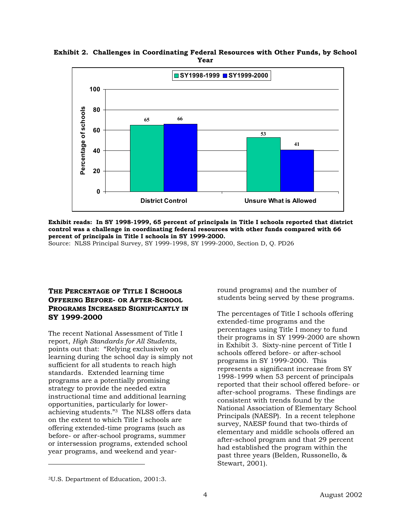

**Exhibit 2. Challenges in Coordinating Federal Resources with Other Funds, by School Year**

**Exhibit reads: In SY 1998-1999, 65 percent of principals in Title I schools reported that district control was a challenge in coordinating federal resources with other funds compared with 66 percent of principals in Title I schools in SY 1999-2000.** 

Source: NLSS Principal Survey, SY 1999-1998, SY 1999-2000, Section D, Q. PD26

#### **THE PERCENTAGE OF TITLE I SCHOOLS OFFERING BEFORE- OR AFTER-SCHOOL PROGRAMS INCREASED SIGNIFICANTLY IN SY 1999-2000**

The recent National Assessment of Title I report, *High Standards for All Students*, points out that: "Relying exclusively on learning during the school day is simply not sufficient for all students to reach high standards. Extended learning time programs are a potentially promising strategy to provide the needed extra instructional time and additional learning opportunities, particularly for lowerachieving students.["3](#page-3-0) The NLSS offers data on the extent to which Title I schools are offering extended-time programs (such as before- or after-school programs, summer or intersession programs, extended school year programs, and weekend and yearround programs) and the number of students being served by these programs.

The percentages of Title I schools offering extended-time programs and the percentages using Title I money to fund their programs in SY 1999-2000 are shown in Exhibit 3. Sixty-nine percent of Title I schools offered before- or after-school programs in SY 1999-2000. This represents a significant increase from SY 1998-1999 when 53 percent of principals reported that their school offered before- or after-school programs. These findings are consistent with trends found by the National Association of Elementary School Principals (NAESP). In a recent telephone survey, NAESP found that two-thirds of elementary and middle schools offered an after-school program and that 29 percent had established the program within the past three years (Belden, Russonello, & Stewart, 2001).

<span id="page-3-0"></span><sup>3</sup>U.S. Department of Education, 2001:3.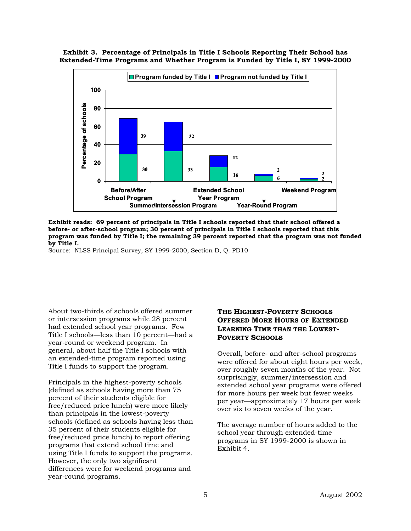**Exhibit 3. Percentage of Principals in Title I Schools Reporting Their School has Extended-Time Programs and Whether Program is Funded by Title I, SY 1999-2000** 



**Exhibit reads: 69 percent of principals in Title I schools reported that their school offered a before- or after-school program; 30 percent of principals in Title I schools reported that this program was funded by Title I; the remaining 39 percent reported that the program was not funded by Title I.** 

Source: NLSS Principal Survey, SY 1999-2000, Section D, Q. PD10

About two-thirds of schools offered summer or intersession programs while 28 percent had extended school year programs. Few Title I schools—less than 10 percent—had a year-round or weekend program. In general, about half the Title I schools with an extended-time program reported using Title I funds to support the program.

Principals in the highest-poverty schools (defined as schools having more than 75 percent of their students eligible for free/reduced price lunch) were more likely than principals in the lowest-poverty schools (defined as schools having less than 35 percent of their students eligible for free/reduced price lunch) to report offering programs that extend school time and using Title I funds to support the programs. However, the only two significant differences were for weekend programs and year-round programs.

#### **THE HIGHEST-POVERTY SCHOOLS OFFERED MORE HOURS OF EXTENDED LEARNING TIME THAN THE LOWEST-POVERTY SCHOOLS**

Overall, before- and after-school programs were offered for about eight hours per week, over roughly seven months of the year. Not surprisingly, summer/intersession and extended school year programs were offered for more hours per week but fewer weeks per year—approximately 17 hours per week over six to seven weeks of the year.

The average number of hours added to the school year through extended-time programs in SY 1999-2000 is shown in Exhibit 4.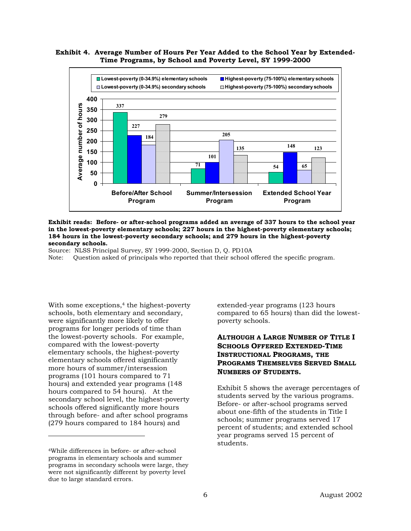#### **Exhibit 4. Average Number of Hours Per Year Added to the School Year by Extended-Time Programs, by School and Poverty Level, SY 1999-2000**



#### **Exhibit reads: Before- or after-school programs added an average of 337 hours to the school year in the lowest-poverty elementary schools; 227 hours in the highest-poverty elementary schools; 184 hours in the lowest-poverty secondary schools; and 279 hours in the highest-poverty secondary schools.**

Source: NLSS Principal Survey, SY 1999-2000, Section D, Q. PD10A

Note: Question asked of principals who reported that their school offered the specific program.

With some exceptions,<sup>4</sup> the highest-poverty schools, both elementary and secondary, were significantly more likely to offer programs for longer periods of time than the lowest-poverty schools. For example, compared with the lowest-poverty elementary schools, the highest-poverty elementary schools offered significantly more hours of summer/intersession programs (101 hours compared to 71 hours) and extended year programs (148 hours compared to 54 hours). At the secondary school level, the highest-poverty schools offered significantly more hours through before- and after school programs (279 hours compared to 184 hours) and

-

extended-year programs (123 hours compared to 65 hours) than did the lowestpoverty schools.

#### **ALTHOUGH A LARGE NUMBER OF TITLE I SCHOOLS OFFERED EXTENDED-TIME INSTRUCTIONAL PROGRAMS, THE PROGRAMS THEMSELVES SERVED SMALL NUMBERS OF STUDENTS.**

Exhibit 5 shows the average percentages of students served by the various programs. Before- or after-school programs served about one-fifth of the students in Title I schools; summer programs served 17 percent of students; and extended school year programs served 15 percent of students.

<span id="page-5-0"></span><sup>4</sup>While differences in before- or after-school programs in elementary schools and summer programs in secondary schools were large, they were not significantly different by poverty level due to large standard errors.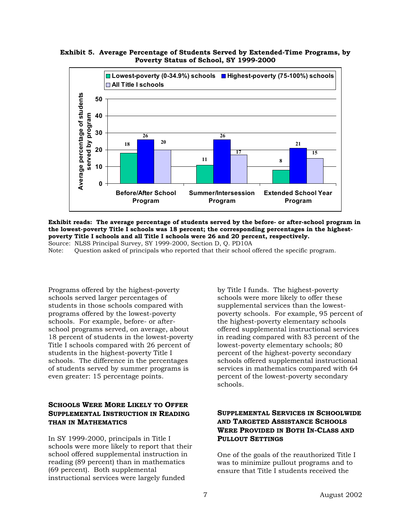#### **Exhibit 5. Average Percentage of Students Served by Extended-Time Programs, by Poverty Status of School, SY 1999-2000**



**Exhibit reads: The average percentage of students served by the before- or after-school program in the lowest-poverty Title I schools was 18 percent; the corresponding percentages in the highestpoverty Title I schools and all Title I schools were 26 and 20 percent, respectively.**  Source: NLSS Principal Survey, SY 1999-2000, Section D, Q. PD10A

Note: Question asked of principals who reported that their school offered the specific program.

Programs offered by the highest-poverty schools served larger percentages of students in those schools compared with programs offered by the lowest-poverty schools. For example, before- or afterschool programs served, on average, about 18 percent of students in the lowest-poverty Title I schools compared with 26 percent of students in the highest-poverty Title I schools. The difference in the percentages of students served by summer programs is even greater: 15 percentage points.

#### **SCHOOLS WERE MORE LIKELY TO OFFER SUPPLEMENTAL INSTRUCTION IN READING THAN IN MATHEMATICS**

In SY 1999-2000, principals in Title I schools were more likely to report that their school offered supplemental instruction in reading (89 percent) than in mathematics (69 percent). Both supplemental instructional services were largely funded

by Title I funds. The highest-poverty schools were more likely to offer these supplemental services than the lowestpoverty schools. For example, 95 percent of the highest-poverty elementary schools offered supplemental instructional services in reading compared with 83 percent of the lowest-poverty elementary schools; 80 percent of the highest-poverty secondary schools offered supplemental instructional services in mathematics compared with 64 percent of the lowest-poverty secondary schools.

#### **SUPPLEMENTAL SERVICES IN SCHOOLWIDE AND TARGETED ASSISTANCE SCHOOLS WERE PROVIDED IN BOTH IN-CLASS AND PULLOUT SETTINGS**

One of the goals of the reauthorized Title I was to minimize pullout programs and to ensure that Title I students received the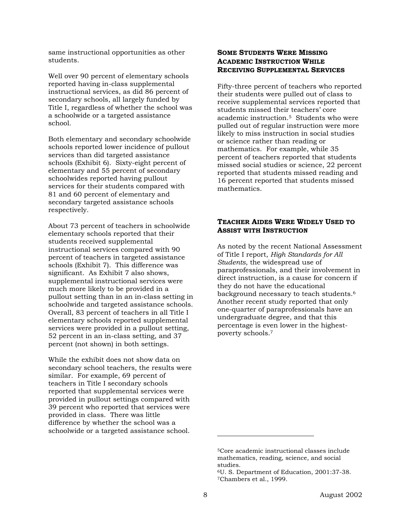same instructional opportunities as other students.

Well over 90 percent of elementary schools reported having in-class supplemental instructional services, as did 86 percent of secondary schools, all largely funded by Title I, regardless of whether the school was a schoolwide or a targeted assistance school.

Both elementary and secondary schoolwide schools reported lower incidence of pullout services than did targeted assistance schools (Exhibit 6). Sixty-eight percent of elementary and 55 percent of secondary schoolwides reported having pullout services for their students compared with 81 and 60 percent of elementary and secondary targeted assistance schools respectively.

About 73 percent of teachers in schoolwide elementary schools reported that their students received supplemental instructional services compared with 90 percent of teachers in targeted assistance schools (Exhibit 7). This difference was significant. As Exhibit 7 also shows, supplemental instructional services were much more likely to be provided in a pullout setting than in an in-class setting in schoolwide and targeted assistance schools. Overall, 83 percent of teachers in all Title I elementary schools reported supplemental services were provided in a pullout setting, 52 percent in an in-class setting, and 37 percent (not shown) in both settings.

While the exhibit does not show data on secondary school teachers, the results were similar. For example, 69 percent of teachers in Title I secondary schools reported that supplemental services were provided in pullout settings compared with 39 percent who reported that services were provided in class. There was little difference by whether the school was a schoolwide or a targeted assistance school.

#### **SOME STUDENTS WERE MISSING ACADEMIC INSTRUCTION WHILE RECEIVING SUPPLEMENTAL SERVICES**

Fifty-three percent of teachers who reported their students were pulled out of class to receive supplemental services reported that students missed their teachers' core academic instruction.[5](#page-7-0) Students who were pulled out of regular instruction were more likely to miss instruction in social studies or science rather than reading or mathematics. For example, while 35 percent of teachers reported that students missed social studies or science, 22 percent reported that students missed reading and 16 percent reported that students missed mathematics.

#### **TEACHER AIDES WERE WIDELY USED TO ASSIST WITH INSTRUCTION**

As noted by the recent National Assessment of Title I report, *High Standards for All Students*, the widespread use of paraprofessionals, and their involvement in direct instruction, is a cause for concern if they do not have the educational background necessary to teach students.[6](#page-7-1)  Another recent study reported that only one-quarter of paraprofessionals have an undergraduate degree, and that this percentage is even lower in the highestpoverty schools.[7](#page-7-2)

<span id="page-7-0"></span><sup>5</sup>Core academic instructional classes include mathematics, reading, science, and social

<span id="page-7-2"></span><span id="page-7-1"></span>studies. 6U. S. Department of Education, 2001:37-38. 7Chambers et al., 1999.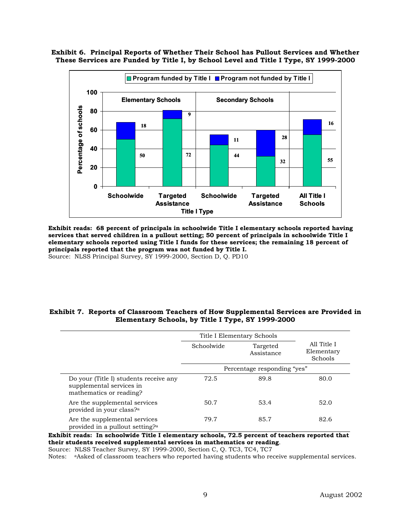**Exhibit 6. Principal Reports of Whether Their School has Pullout Services and Whether These Services are Funded by Title I, by School Level and Title I Type, SY 1999-2000** 



**Exhibit reads: 68 percent of principals in schoolwide Title I elementary schools reported having services that served children in a pullout setting; 50 percent of principals in schoolwide Title I elementary schools reported using Title I funds for these services; the remaining 18 percent of principals reported that the program was not funded by Title I.**  Source: NLSS Principal Survey, SY 1999-2000, Section D, Q. PD10

#### **Exhibit 7. Reports of Classroom Teachers of How Supplemental Services are Provided in Elementary Schools, by Title I Type, SY 1999-2000**

|                                                                                               | Title I Elementary Schools  |                        |                                      |
|-----------------------------------------------------------------------------------------------|-----------------------------|------------------------|--------------------------------------|
|                                                                                               | Schoolwide                  | Targeted<br>Assistance | All Title I<br>Elementary<br>Schools |
|                                                                                               | Percentage responding "yes" |                        |                                      |
| Do your (Title I) students receive any<br>supplemental services in<br>mathematics or reading? | 72.5                        | 89.8                   | 80.0                                 |
| Are the supplemental services<br>provided in your class? <sup>a</sup>                         | 50.7                        | 53.4                   | 52.0                                 |
| Are the supplemental services<br>provided in a pullout setting? <sup>a</sup>                  | 79.7                        | 85.7                   | 82.6                                 |

**Exhibit reads: In schoolwide Title I elementary schools, 72.5 percent of teachers reported that their students received supplemental services in mathematics or reading**.

Source: NLSS Teacher Survey, SY 1999-2000, Section C, Q. TC3, TC4, TC7

Notes: aAsked of classroom teachers who reported having students who receive supplemental services.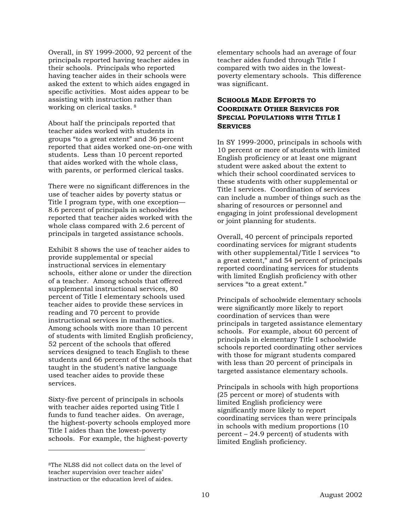Overall, in SY 1999-2000, 92 percent of the principals reported having teacher aides in their schools. Principals who reported having teacher aides in their schools were asked the extent to which aides engaged in specific activities. Most aides appear to be assisting with instruction rather than working on clerical tasks. [8](#page-9-0) 

About half the principals reported that teacher aides worked with students in groups "to a great extent" and 36 percent reported that aides worked one-on-one with students. Less than 10 percent reported that aides worked with the whole class, with parents, or performed clerical tasks.

There were no significant differences in the use of teacher aides by poverty status or Title I program type, with one exception— 8.6 percent of principals in schoolwides reported that teacher aides worked with the whole class compared with 2.6 percent of principals in targeted assistance schools.

Exhibit 8 shows the use of teacher aides to provide supplemental or special instructional services in elementary schools, either alone or under the direction of a teacher. Among schools that offered supplemental instructional services, 80 percent of Title I elementary schools used teacher aides to provide these services in reading and 70 percent to provide instructional services in mathematics. Among schools with more than 10 percent of students with limited English proficiency, 52 percent of the schools that offered services designed to teach English to these students and 66 percent of the schools that taught in the student's native language used teacher aides to provide these services.

Sixty-five percent of principals in schools with teacher aides reported using Title I funds to fund teacher aides. On average, the highest-poverty schools employed more Title I aides than the lowest-poverty schools. For example, the highest-poverty

<span id="page-9-0"></span>8The NLSS did not collect data on the level of teacher supervision over teacher aides' instruction or the education level of aides.

-

elementary schools had an average of four teacher aides funded through Title I compared with two aides in the lowestpoverty elementary schools. This difference was significant.

#### **SCHOOLS MADE EFFORTS TO COORDINATE OTHER SERVICES FOR SPECIAL POPULATIONS WITH TITLE I SERVICES**

In SY 1999-2000, principals in schools with 10 percent or more of students with limited English proficiency or at least one migrant student were asked about the extent to which their school coordinated services to these students with other supplemental or Title I services. Coordination of services can include a number of things such as the sharing of resources or personnel and engaging in joint professional development or joint planning for students.

Overall, 40 percent of principals reported coordinating services for migrant students with other supplemental/Title I services "to a great extent," and 54 percent of principals reported coordinating services for students with limited English proficiency with other services "to a great extent."

Principals of schoolwide elementary schools were significantly more likely to report coordination of services than were principals in targeted assistance elementary schools. For example, about 60 percent of principals in elementary Title I schoolwide schools reported coordinating other services with those for migrant students compared with less than 20 percent of principals in targeted assistance elementary schools.

Principals in schools with high proportions (25 percent or more) of students with limited English proficiency were significantly more likely to report coordinating services than were principals in schools with medium proportions (10 percent – 24.9 percent) of students with limited English proficiency.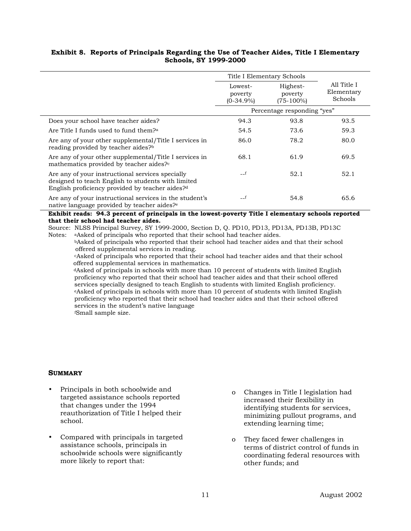#### **Exhibit 8. Reports of Principals Regarding the Use of Teacher Aides, Title I Elementary Schools, SY 1999-2000**

|                                                                                                                                                                       | Title I Elementary Schools         |                                     |                                      |
|-----------------------------------------------------------------------------------------------------------------------------------------------------------------------|------------------------------------|-------------------------------------|--------------------------------------|
|                                                                                                                                                                       | Lowest-<br>poverty<br>$(0-34.9\%)$ | Highest-<br>poverty<br>$(75-100\%)$ | All Title I<br>Elementary<br>Schools |
|                                                                                                                                                                       | Percentage responding "yes"        |                                     |                                      |
| Does your school have teacher aides?                                                                                                                                  | 94.3                               | 93.8                                | 93.5                                 |
| Are Title I funds used to fund them? <sup>a</sup>                                                                                                                     | 54.5                               | 73.6                                | 59.3                                 |
| Are any of your other supplemental/Title I services in<br>reading provided by teacher aides? <sup>b</sup>                                                             | 86.0                               | 78.2                                | 80.0                                 |
| Are any of your other supplemental/Title I services in<br>mathematics provided by teacher aides? <sup>c</sup>                                                         | 68.1                               | 61.9                                | 69.5                                 |
| Are any of your instructional services specially<br>designed to teach English to students with limited<br>English proficiency provided by teacher aides? <sup>d</sup> | $-f$                               | 52.1                                | 52.1                                 |
| Are any of your instructional services in the student's<br>native language provided by teacher aides? <sup>e</sup>                                                    |                                    | 54.8                                | 65.6                                 |

#### **Exhibit reads: 94.3 percent of principals in the lowest-poverty Title I elementary schools reported that their school had teacher aides.**

Source: NLSS Principal Survey, SY 1999-2000, Section D, Q. PD10, PD13, PD13A, PD13B, PD13C

Notes: aAsked of principals who reported that their school had teacher aides.

 bAsked of principals who reported that their school had teacher aides and that their school offered supplemental services in reading.

 cAsked of principals who reported that their school had teacher aides and that their school offered supplemental services in mathematics.<br><sup>d</sup>Asked of principals in schools with more than 10 percent of students with limited English

 proficiency who reported that their school had teacher aides and that their school offered services specially designed to teach English to students with limited English proficiency. eAsked of principals in schools with more than 10 percent of students with limited English proficiency who reported that their school had teacher aides and that their school offered services in the student's native language

f<sub>1</sub> Small sample size.

#### **SUMMARY**

- Principals in both schoolwide and targeted assistance schools reported that changes under the 1994 reauthorization of Title I helped their school.
- Compared with principals in targeted assistance schools, principals in schoolwide schools were significantly more likely to report that:
- o Changes in Title I legislation had increased their flexibility in identifying students for services, minimizing pullout programs, and extending learning time;
- o They faced fewer challenges in terms of district control of funds in coordinating federal resources with other funds; and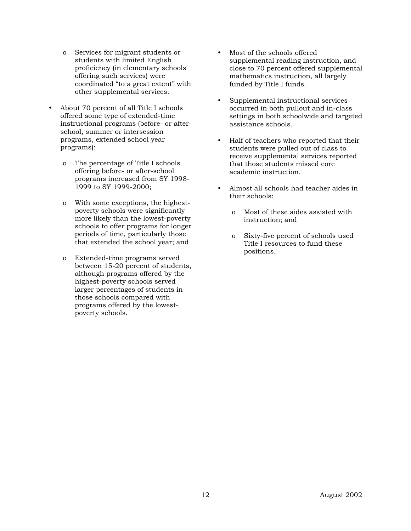- o Services for migrant students or students with limited English proficiency (in elementary schools offering such services) were coordinated "to a great extent" with other supplemental services.
- About 70 percent of all Title I schools offered some type of extended-time instructional programs (before- or afterschool, summer or intersession programs, extended school year programs):
	- o The percentage of Title I schools offering before- or after-school programs increased from SY 1998- 1999 to SY 1999-2000;
	- o With some exceptions, the highestpoverty schools were significantly more likely than the lowest-poverty schools to offer programs for longer periods of time, particularly those that extended the school year; and
	- o Extended-time programs served between 15-20 percent of students, although programs offered by the highest-poverty schools served larger percentages of students in those schools compared with programs offered by the lowestpoverty schools.
- Most of the schools offered supplemental reading instruction, and close to 70 percent offered supplemental mathematics instruction, all largely funded by Title I funds.
- Supplemental instructional services occurred in both pullout and in-class settings in both schoolwide and targeted assistance schools.
- Half of teachers who reported that their students were pulled out of class to receive supplemental services reported that those students missed core academic instruction.
- Almost all schools had teacher aides in their schools:
	- o Most of these aides assisted with instruction; and
	- o Sixty-five percent of schools used Title I resources to fund these positions.